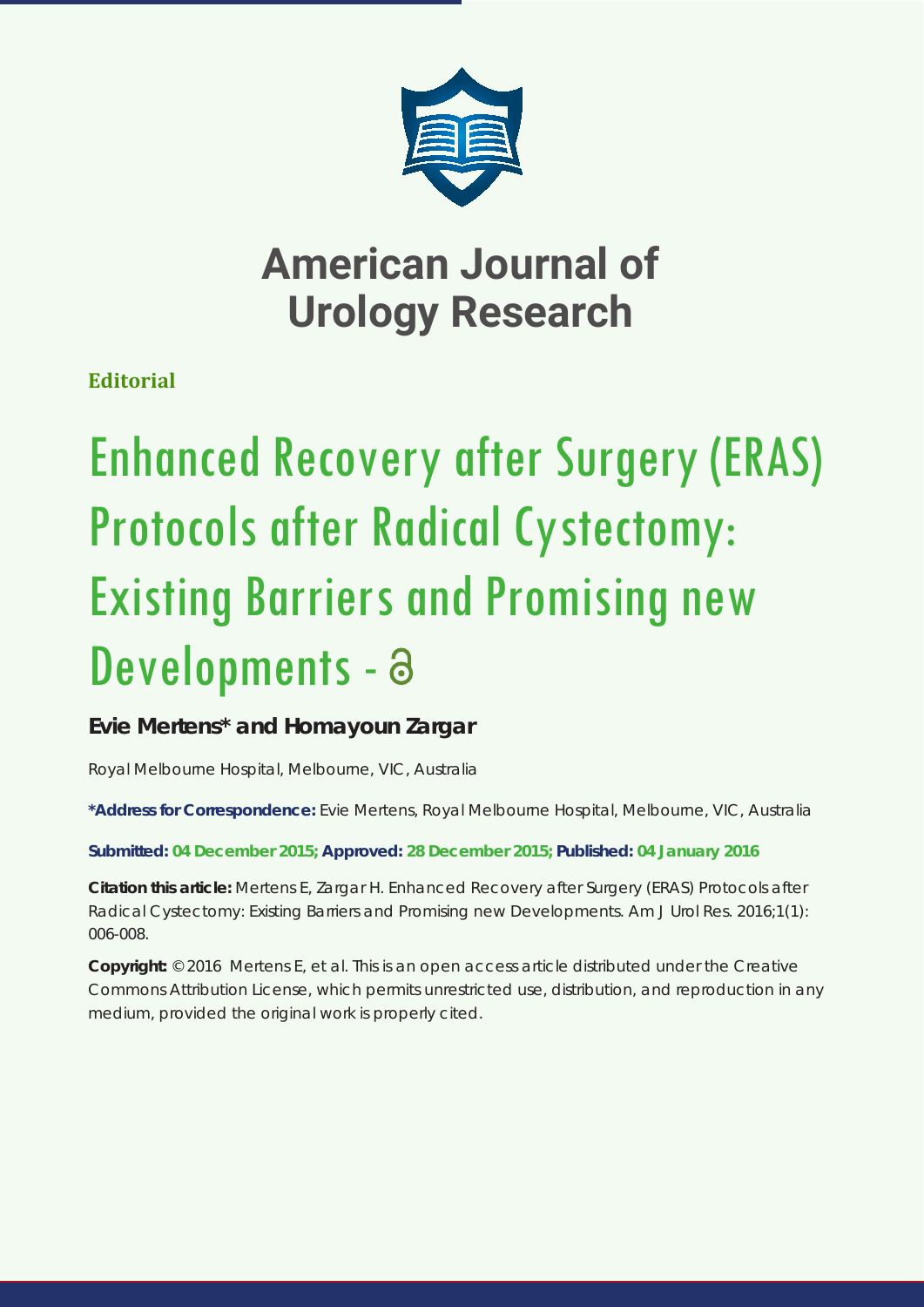

## **American Journal of Urology Research**

**Editorial**

# Enhanced Recovery after Surgery (ERAS) Protocols after Radical Cystectomy: Existing Barriers and Promising new Developments - a

## **Evie Mertens\* and Homayoun Zargar**

*Royal Melbourne Hospital, Melbourne, VIC, Australia*

**\*Address for Correspondence:** Evie Mertens, Royal Melbourne Hospital, Melbourne, VIC, Australia

**Submitted: 04 December 2015; Approved: 28 December 2015; Published: 04 January 2016**

**Citation this article:** Mertens E, Zargar H. Enhanced Recovery after Surgery (ERAS) Protocols after Radical Cystectomy: Existing Barriers and Promising new Developments. Am J Urol Res. 2016;1(1): 006-008.

**Copyright:** © 2016 Mertens E, et al. This is an open access article distributed under the Creative Commons Attribution License, which permits unrestricted use, distribution, and reproduction in any medium, provided the original work is properly cited.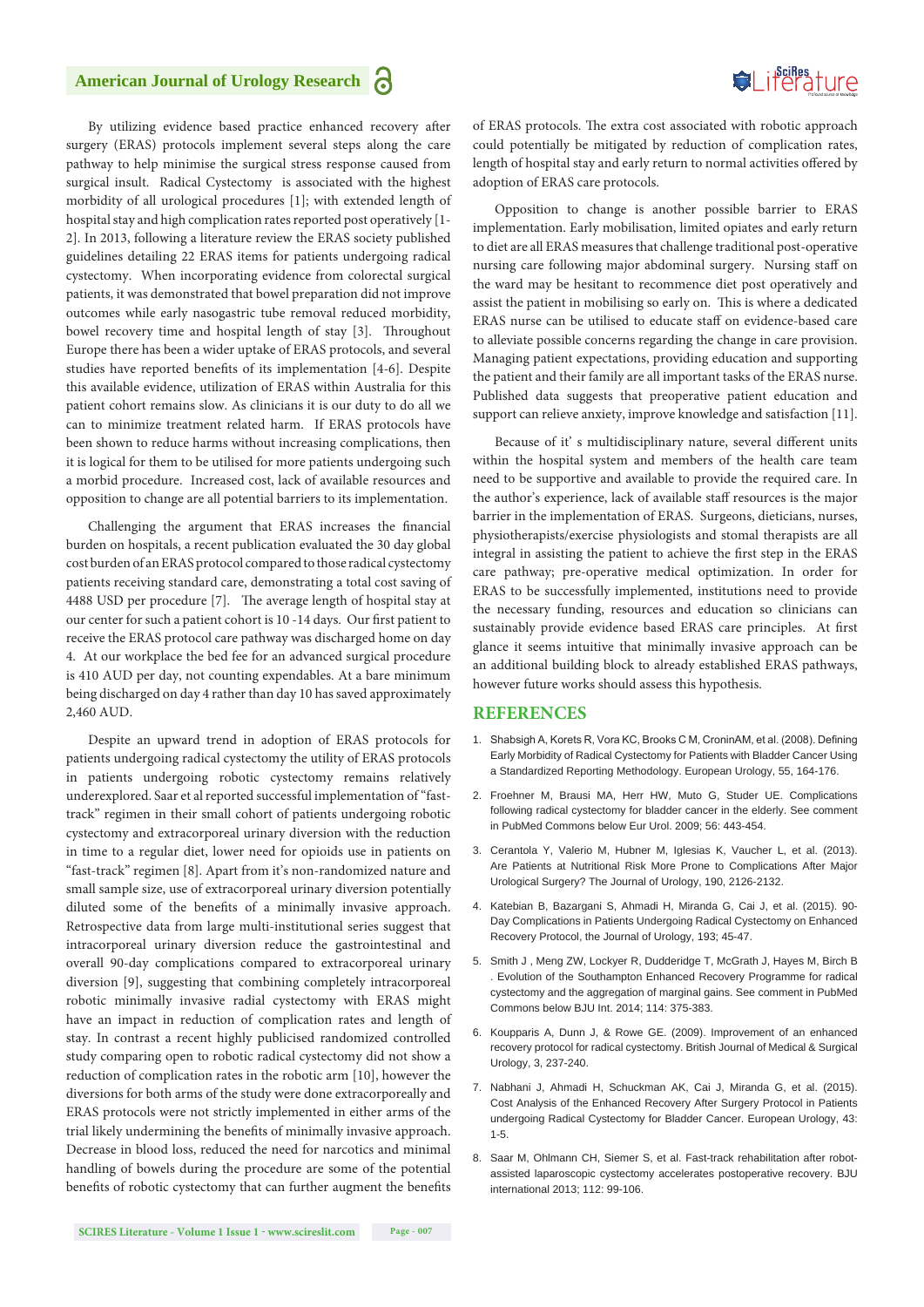## Suifes ture

### **American Journal of Urology Research**

By utilizing evidence based practice enhanced recovery after surgery (ERAS) protocols implement several steps along the care pathway to help minimise the surgical stress response caused from surgical insult. Radical Cystectomy is associated with the highest morbidity of all urological procedures [1]; with extended length of hospital stay and high complication rates reported post operatively [1- 2]. In 2013, following a literature review the ERAS society published guidelines detailing 22 ERAS items for patients undergoing radical cystectomy. When incorporating evidence from colorectal surgical patients, it was demonstrated that bowel preparation did not improve outcomes while early nasogastric tube removal reduced morbidity, bowel recovery time and hospital length of stay [3]. Throughout Europe there has been a wider uptake of ERAS protocols, and several studies have reported benefits of its implementation [4-6]. Despite this available evidence, utilization of ERAS within Australia for this patient cohort remains slow. As clinicians it is our duty to do all we can to minimize treatment related harm. If ERAS protocols have been shown to reduce harms without increasing complications, then it is logical for them to be utilised for more patients undergoing such a morbid procedure. Increased cost, lack of available resources and opposition to change are all potential barriers to its implementation.

Challenging the argument that ERAS increases the financial burden on hospitals, a recent publication evaluated the 30 day global cost burden of an ERAS protocol compared to those radical cystectomy patients receiving standard care, demonstrating a total cost saving of 4488 USD per procedure [7]. The average length of hospital stay at our center for such a patient cohort is 10 -14 days. Our first patient to receive the ERAS protocol care pathway was discharged home on day 4. At our workplace the bed fee for an advanced surgical procedure is 410 AUD per day, not counting expendables. At a bare minimum being discharged on day 4 rather than day 10 has saved approximately 2,460 AUD.

Despite an upward trend in adoption of ERAS protocols for patients undergoing radical cystectomy the utility of ERAS protocols in patients undergoing robotic cystectomy remains relatively underexplored. Saar et al reported successful implementation of "fasttrack" regimen in their small cohort of patients undergoing robotic cystectomy and extracorporeal urinary diversion with the reduction in time to a regular diet, lower need for opioids use in patients on "fast-track" regimen [8]. Apart from it's non-randomized nature and small sample size, use of extracorporeal urinary diversion potentially diluted some of the benefits of a minimally invasive approach. Retrospective data from large multi-institutional series suggest that intracorporeal urinary diversion reduce the gastrointestinal and overall 90-day complications compared to extracorporeal urinary diversion [9], suggesting that combining completely intracorporeal robotic minimally invasive radial cystectomy with ERAS might have an impact in reduction of complication rates and length of stay. In contrast a recent highly publicised randomized controlled study comparing open to robotic radical cystectomy did not show a reduction of complication rates in the robotic arm [10], however the diversions for both arms of the study were done extracorporeally and ERAS protocols were not strictly implemented in either arms of the trial likely undermining the benefits of minimally invasive approach. Decrease in blood loss, reduced the need for narcotics and minimal handling of bowels during the procedure are some of the potential benefits of robotic cystectomy that can further augment the benefits

of ERAS protocols. The extra cost associated with robotic approach could potentially be mitigated by reduction of complication rates, length of hospital stay and early return to normal activities offered by adoption of ERAS care protocols.

Opposition to change is another possible barrier to ERAS implementation. Early mobilisation, limited opiates and early return to diet are all ERAS measures that challenge traditional post-operative nursing care following major abdominal surgery. Nursing staff on the ward may be hesitant to recommence diet post operatively and assist the patient in mobilising so early on. This is where a dedicated ERAS nurse can be utilised to educate staff on evidence-based care to alleviate possible concerns regarding the change in care provision. Managing patient expectations, providing education and supporting the patient and their family are all important tasks of the ERAS nurse. Published data suggests that preoperative patient education and support can relieve anxiety, improve knowledge and satisfaction [11].

Because of it' s multidisciplinary nature, several different units within the hospital system and members of the health care team need to be supportive and available to provide the required care. In the author's experience, lack of available staff resources is the major barrier in the implementation of ERAS. Surgeons, dieticians, nurses, physiotherapists/exercise physiologists and stomal therapists are all integral in assisting the patient to achieve the first step in the ERAS care pathway; pre-operative medical optimization. In order for ERAS to be successfully implemented, institutions need to provide the necessary funding, resources and education so clinicians can sustainably provide evidence based ERAS care principles. At first glance it seems intuitive that minimally invasive approach can be an additional building block to already established ERAS pathways, however future works should assess this hypothesis.

#### **REFERENCES**

- 1. Shabsigh A, Korets R, Vora KC, Brooks C M, CroninAM, et al. (2008). Defining Early Morbidity of Radical Cystectomy for Patients with Bladder Cancer Using a Standardized Reporting Methodology. European Urology, 55, 164-176.
- 2. [Froehner M, Brausi MA, Herr HW, Muto G, Studer UE. Complications](http://www.ncbi.nlm.nih.gov/pubmed/19481861)  [following radical cystectomy for bladder cancer in the elderly. See comment](http://www.ncbi.nlm.nih.gov/pubmed/19481861)  [in PubMed Commons below Eur Urol. 2009; 56: 443-454.](http://www.ncbi.nlm.nih.gov/pubmed/19481861)
- 3. Cerantola Y, Valerio M, Hubner M, Iglesias K, Vaucher L, et al. (2013). Are Patients at Nutritional Risk More Prone to Complications After Major Urological Surgery? The Journal of Urology, 190, 2126-2132.
- 4. Katebian B, Bazargani S, Ahmadi H, Miranda G, Cai J, et al. (2015). 90- Day Complications in Patients Undergoing Radical Cystectomy on Enhanced Recovery Protocol, the Journal of Urology, 193; 45-47.
- 5. [Smith J , Meng ZW, Lockyer R, Dudderidge T, McGrath J, Hayes M, Birch B](http://www.ncbi.nlm.nih.gov/pubmed/24467630)  [. Evolution of the Southampton Enhanced Recovery Programme for radical](http://www.ncbi.nlm.nih.gov/pubmed/24467630)  [cystectomy and the aggregation of marginal gains. See comment in PubMed](http://www.ncbi.nlm.nih.gov/pubmed/24467630)  [Commons below BJU Int. 2014; 114: 375-383.](http://www.ncbi.nlm.nih.gov/pubmed/24467630)
- 6. Koupparis A, Dunn J, & Rowe GE. (2009). Improvement of an enhanced recovery protocol for radical cystectomy. British Journal of Medical & Surgical Urology, 3, 237-240.
- 7. Nabhani J, Ahmadi H, Schuckman AK, Cai J, Miranda G, et al. (2015). Cost Analysis of the Enhanced Recovery After Surgery Protocol in Patients undergoing Radical Cystectomy for Bladder Cancer. European Urology, 43: 1-5.
- 8. Saar M, Ohlmann CH, Siemer S, et al. Fast-track rehabilitation after robotassisted laparoscopic cystectomy accelerates postoperative recovery. BJU international 2013; 112: 99-106.